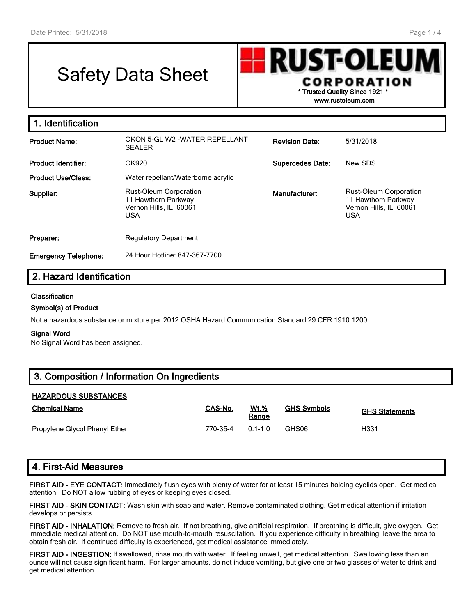# Safety Data Sheet



USA

**1. Identification Product Name:** OKON 5-GL W2 -WATER REPELLANT SEALER **Revision Date:** 5/31/2018 **Product Identifier:** OK920 **Supercedes Date:** New SDS **Product Use/Class:** Water repellant/Waterborne acrylic **Supplier:** Rust-Oleum Corporation 11 Hawthorn Parkway Vernon Hills, IL 60061 **Manufacturer:** Rust-Oleum Corporation 11 Hawthorn Parkway Vernon Hills, IL 60061

| Preparer:                   | <b>Regulatory Department</b>  |
|-----------------------------|-------------------------------|
| <b>Emergency Telephone:</b> | 24 Hour Hotline: 847-367-7700 |

USA

# **2. Hazard Identification**

## **Classification**

### **Symbol(s) of Product**

Not a hazardous substance or mixture per 2012 OSHA Hazard Communication Standard 29 CFR 1910.1200.

#### **Signal Word**

No Signal Word has been assigned.

| 3. Composition / Information On Ingredients |
|---------------------------------------------|
|---------------------------------------------|

## **HAZARDOUS SUBSTANCES**

| <b>Chemical Name</b>          | CAS-No.  | <b>Wt.%</b><br>Range | <b>GHS Symbols</b> | <b>GHS Statements</b> |
|-------------------------------|----------|----------------------|--------------------|-----------------------|
| Propylene Glycol Phenyl Ether | 770-35-4 | $01 - 10$            | GHS06              | H331                  |

## **4. First-Aid Measures**

**FIRST AID - EYE CONTACT:** Immediately flush eyes with plenty of water for at least 15 minutes holding eyelids open. Get medical attention. Do NOT allow rubbing of eyes or keeping eyes closed.

**FIRST AID - SKIN CONTACT:** Wash skin with soap and water. Remove contaminated clothing. Get medical attention if irritation develops or persists.

**FIRST AID - INHALATION:** Remove to fresh air. If not breathing, give artificial respiration. If breathing is difficult, give oxygen. Get immediate medical attention. Do NOT use mouth-to-mouth resuscitation. If you experience difficulty in breathing, leave the area to obtain fresh air. If continued difficulty is experienced, get medical assistance immediately.

**FIRST AID - INGESTION:** If swallowed, rinse mouth with water. If feeling unwell, get medical attention. Swallowing less than an ounce will not cause significant harm. For larger amounts, do not induce vomiting, but give one or two glasses of water to drink and get medical attention.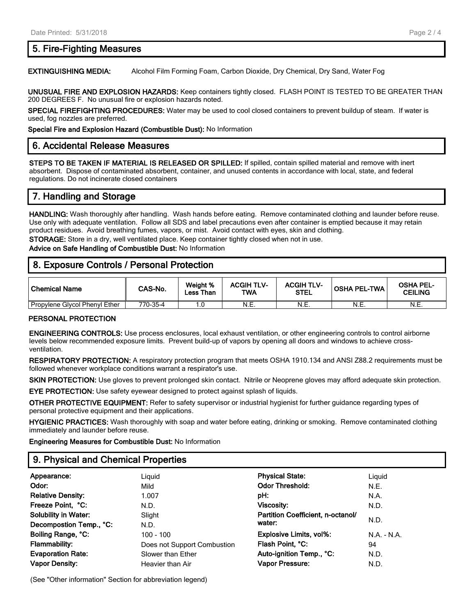# **5. Fire-Fighting Measures**

### **EXTINGUISHING MEDIA:** Alcohol Film Forming Foam, Carbon Dioxide, Dry Chemical, Dry Sand, Water Fog

**UNUSUAL FIRE AND EXPLOSION HAZARDS:** Keep containers tightly closed. FLASH POINT IS TESTED TO BE GREATER THAN 200 DEGREES F. No unusual fire or explosion hazards noted.

**SPECIAL FIREFIGHTING PROCEDURES:** Water may be used to cool closed containers to prevent buildup of steam. If water is used, fog nozzles are preferred.

**Special Fire and Explosion Hazard (Combustible Dust):** No Information

## **6. Accidental Release Measures**

**STEPS TO BE TAKEN IF MATERIAL IS RELEASED OR SPILLED:** If spilled, contain spilled material and remove with inert absorbent. Dispose of contaminated absorbent, container, and unused contents in accordance with local, state, and federal regulations. Do not incinerate closed containers

# **7. Handling and Storage**

**HANDLING:** Wash thoroughly after handling. Wash hands before eating. Remove contaminated clothing and launder before reuse. Use only with adequate ventilation. Follow all SDS and label precautions even after container is emptied because it may retain product residues. Avoid breathing fumes, vapors, or mist. Avoid contact with eyes, skin and clothing. **STORAGE:** Store in a dry, well ventilated place. Keep container tightly closed when not in use.

## **Advice on Safe Handling of Combustible Dust:** No Information

## **8. Exposure Controls / Personal Protection**

| l Chemical Name               | CAS-No.  | Weight %<br>Less Than | <b>ACGIH TLV-</b><br><b>TWA</b> | <b>ACGIH TLV-</b><br><b>STEL</b> | <b>OSHA PEL-TWA</b> | <b>OSHA PEL-</b><br><b>CEILING</b> |
|-------------------------------|----------|-----------------------|---------------------------------|----------------------------------|---------------------|------------------------------------|
| Propylene Glycol Phenyl Ether | 770-35-4 |                       | N.E.                            | N.E.                             | N.E.                | N.E.                               |

#### **PERSONAL PROTECTION**

**ENGINEERING CONTROLS:** Use process enclosures, local exhaust ventilation, or other engineering controls to control airborne levels below recommended exposure limits. Prevent build-up of vapors by opening all doors and windows to achieve crossventilation.

**RESPIRATORY PROTECTION:** A respiratory protection program that meets OSHA 1910.134 and ANSI Z88.2 requirements must be followed whenever workplace conditions warrant a respirator's use.

**SKIN PROTECTION:** Use gloves to prevent prolonged skin contact. Nitrile or Neoprene gloves may afford adequate skin protection.

**EYE PROTECTION:** Use safety eyewear designed to protect against splash of liquids.

**OTHER PROTECTIVE EQUIPMENT:** Refer to safety supervisor or industrial hygienist for further guidance regarding types of personal protective equipment and their applications.

**HYGIENIC PRACTICES:** Wash thoroughly with soap and water before eating, drinking or smoking. Remove contaminated clothing immediately and launder before reuse.

**Engineering Measures for Combustible Dust:** No Information

## **9. Physical and Chemical Properties**

| Appearance:                 | Liguid                      | <b>Physical State:</b>            | Liguid        |
|-----------------------------|-----------------------------|-----------------------------------|---------------|
| Odor:                       | Mild                        | <b>Odor Threshold:</b>            | N.E.          |
| <b>Relative Density:</b>    | 1.007                       | pH:                               | N.A.          |
| Freeze Point, °C:           | N.D.                        | Viscosity:                        | N.D.          |
| <b>Solubility in Water:</b> | Slight                      | Partition Coefficient, n-octanol/ |               |
| Decompostion Temp., °C:     | N.D.                        | water:                            | N.D.          |
| Boiling Range, °C:          | 100 - 100                   | Explosive Limits, vol%:           | $N.A. - N.A.$ |
| <b>Flammability:</b>        | Does not Support Combustion | Flash Point, °C:                  | 94            |
| <b>Evaporation Rate:</b>    | Slower than Ether           | Auto-ignition Temp., °C:          | N.D.          |
| <b>Vapor Density:</b>       | Heavier than Air            | Vapor Pressure:                   | N.D.          |
|                             |                             |                                   |               |

(See "Other information" Section for abbreviation legend)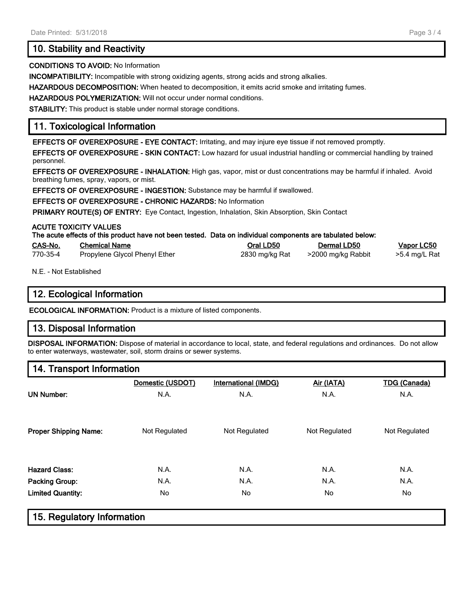# **10. Stability and Reactivity**

### **CONDITIONS TO AVOID:** No Information

**INCOMPATIBILITY:** Incompatible with strong oxidizing agents, strong acids and strong alkalies.

**HAZARDOUS DECOMPOSITION:** When heated to decomposition, it emits acrid smoke and irritating fumes.

**HAZARDOUS POLYMERIZATION:** Will not occur under normal conditions.

**STABILITY:** This product is stable under normal storage conditions.

# **11. Toxicological Information**

**EFFECTS OF OVEREXPOSURE - EYE CONTACT:** Irritating, and may injure eye tissue if not removed promptly.

**EFFECTS OF OVEREXPOSURE - SKIN CONTACT:** Low hazard for usual industrial handling or commercial handling by trained personnel.

**EFFECTS OF OVEREXPOSURE - INHALATION:** High gas, vapor, mist or dust concentrations may be harmful if inhaled. Avoid breathing fumes, spray, vapors, or mist.

**EFFECTS OF OVEREXPOSURE - INGESTION:** Substance may be harmful if swallowed.

**EFFECTS OF OVEREXPOSURE - CHRONIC HAZARDS:** No Information

**PRIMARY ROUTE(S) OF ENTRY:** Eye Contact, Ingestion, Inhalation, Skin Absorption, Skin Contact

## **ACUTE TOXICITY VALUES**

| The acute effects of this product have not been tested. Data on individual components are tabulated below: |
|------------------------------------------------------------------------------------------------------------|
|------------------------------------------------------------------------------------------------------------|

| CAS-No.  | <b>Chemical Name</b>          | Oral LD50      | Dermal LD50        | <u>Vapor LC50</u> |
|----------|-------------------------------|----------------|--------------------|-------------------|
| 770-35-4 | Propylene Glycol Phenyl Ether | 2830 mg/kg Rat | >2000 mg/kg Rabbit | >5.4 mg/L Rat     |

N.E. - Not Established

## **12. Ecological Information**

**ECOLOGICAL INFORMATION:** Product is a mixture of listed components.

# **13. Disposal Information**

**DISPOSAL INFORMATION:** Dispose of material in accordance to local, state, and federal regulations and ordinances. Do not allow to enter waterways, wastewater, soil, storm drains or sewer systems.

## **14. Transport Information**

| N.A.          | N.A.          | N.A.          | N.A.          |
|---------------|---------------|---------------|---------------|
| Not Regulated | Not Regulated | Not Regulated | Not Regulated |
| N.A.          | N.A.          | N.A.          | N.A.          |
| N.A.          | N.A.          | N.A.          | N.A.          |
| No            | No            | No            | No            |
|               |               |               |               |